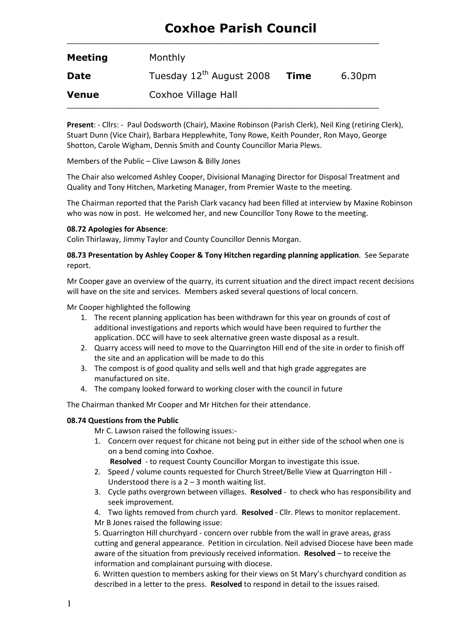# Coxhoe Parish Council

| <b>Meeting</b> | Monthly                  |      |                    |
|----------------|--------------------------|------|--------------------|
| <b>Date</b>    | Tuesday 12th August 2008 | Time | 6.30 <sub>pm</sub> |
| <b>Venue</b>   | Coxhoe Village Hall      |      |                    |

 $\_$  , and the set of the set of the set of the set of the set of the set of the set of the set of the set of the set of the set of the set of the set of the set of the set of the set of the set of the set of the set of th

Present: - Cllrs: - Paul Dodsworth (Chair), Maxine Robinson (Parish Clerk), Neil King (retiring Clerk), Stuart Dunn (Vice Chair), Barbara Hepplewhite, Tony Rowe, Keith Pounder, Ron Mayo, George Shotton, Carole Wigham, Dennis Smith and County Councillor Maria Plews.

Members of the Public – Clive Lawson & Billy Jones

The Chair also welcomed Ashley Cooper, Divisional Managing Director for Disposal Treatment and Quality and Tony Hitchen, Marketing Manager, from Premier Waste to the meeting.

The Chairman reported that the Parish Clark vacancy had been filled at interview by Maxine Robinson who was now in post. He welcomed her, and new Councillor Tony Rowe to the meeting.

#### 08.72 Apologies for Absence:

Colin Thirlaway, Jimmy Taylor and County Councillor Dennis Morgan.

#### 08.73 Presentation by Ashley Cooper & Tony Hitchen regarding planning application. See Separate report.

Mr Cooper gave an overview of the quarry, its current situation and the direct impact recent decisions will have on the site and services. Members asked several questions of local concern.

Mr Cooper highlighted the following

- 1. The recent planning application has been withdrawn for this year on grounds of cost of additional investigations and reports which would have been required to further the application. DCC will have to seek alternative green waste disposal as a result.
- 2. Quarry access will need to move to the Quarrington Hill end of the site in order to finish off the site and an application will be made to do this
- 3. The compost is of good quality and sells well and that high grade aggregates are manufactured on site.
- 4. The company looked forward to working closer with the council in future

The Chairman thanked Mr Cooper and Mr Hitchen for their attendance.

#### 08.74 Questions from the Public

Mr C. Lawson raised the following issues:-

- 1. Concern over request for chicane not being put in either side of the school when one is on a bend coming into Coxhoe.
	- Resolved to request County Councillor Morgan to investigate this issue.
- 2. Speed / volume counts requested for Church Street/Belle View at Quarrington Hill Understood there is a  $2 - 3$  month waiting list.
- 3. Cycle paths overgrown between villages. Resolved to check who has responsibility and seek improvement.
- 4. Two lights removed from church yard. Resolved Cllr. Plews to monitor replacement. Mr B Jones raised the following issue:

5. Quarrington Hill churchyard - concern over rubble from the wall in grave areas, grass cutting and general appearance. Petition in circulation. Neil advised Diocese have been made aware of the situation from previously received information. Resolved - to receive the information and complainant pursuing with diocese.

6. Written question to members asking for their views on St Mary's churchyard condition as described in a letter to the press. Resolved to respond in detail to the issues raised.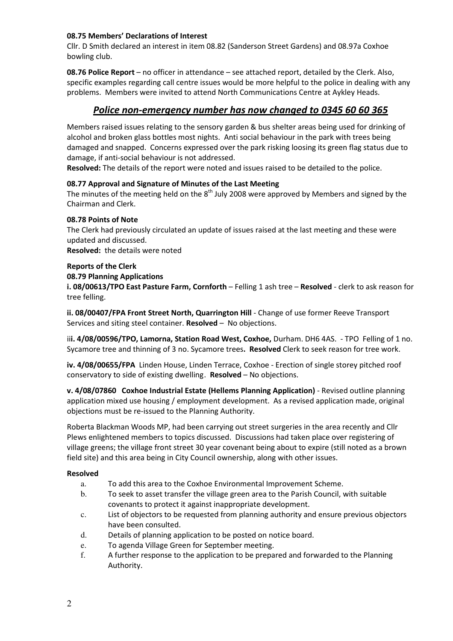#### 08.75 Members' Declarations of Interest

Cllr. D Smith declared an interest in item 08.82 (Sanderson Street Gardens) and 08.97a Coxhoe bowling club.

08.76 Police Report – no officer in attendance – see attached report, detailed by the Clerk. Also, specific examples regarding call centre issues would be more helpful to the police in dealing with any problems. Members were invited to attend North Communications Centre at Aykley Heads.

## Police non-emergency number has now changed to 0345 60 60 365

Members raised issues relating to the sensory garden & bus shelter areas being used for drinking of alcohol and broken glass bottles most nights. Anti social behaviour in the park with trees being damaged and snapped. Concerns expressed over the park risking loosing its green flag status due to damage, if anti-social behaviour is not addressed.

Resolved: The details of the report were noted and issues raised to be detailed to the police.

## 08.77 Approval and Signature of Minutes of the Last Meeting

The minutes of the meeting held on the  $8<sup>th</sup>$  July 2008 were approved by Members and signed by the Chairman and Clerk.

#### 08.78 Points of Note

The Clerk had previously circulated an update of issues raised at the last meeting and these were updated and discussed.

Resolved: the details were noted

#### Reports of the Clerk

08.79 Planning Applications

i. 08/00613/TPO East Pasture Farm, Cornforth - Felling 1 ash tree - Resolved - clerk to ask reason for tree felling.

ii. 08/00407/FPA Front Street North, Quarrington Hill - Change of use former Reeve Transport Services and siting steel container. Resolved – No objections.

iii. 4/08/00596/TPO, Lamorna, Station Road West, Coxhoe, Durham. DH6 4AS. - TPO Felling of 1 no. Sycamore tree and thinning of 3 no. Sycamore trees. Resolved Clerk to seek reason for tree work.

iv. 4/08/00655/FPA Linden House, Linden Terrace, Coxhoe - Erection of single storey pitched roof conservatory to side of existing dwelling. **Resolved** – No objections.

v. 4/08/07860 Coxhoe Industrial Estate (Hellems Planning Application) - Revised outline planning application mixed use housing / employment development. As a revised application made, original objections must be re-issued to the Planning Authority.

Roberta Blackman Woods MP, had been carrying out street surgeries in the area recently and Cllr Plews enlightened members to topics discussed. Discussions had taken place over registering of village greens; the village front street 30 year covenant being about to expire (still noted as a brown field site) and this area being in City Council ownership, along with other issues.

#### Resolved

- a. To add this area to the Coxhoe Environmental Improvement Scheme.
- b. To seek to asset transfer the village green area to the Parish Council, with suitable covenants to protect it against inappropriate development.
- c. List of objectors to be requested from planning authority and ensure previous objectors have been consulted.
- d. Details of planning application to be posted on notice board.
- e. To agenda Village Green for September meeting.
- f. A further response to the application to be prepared and forwarded to the Planning Authority.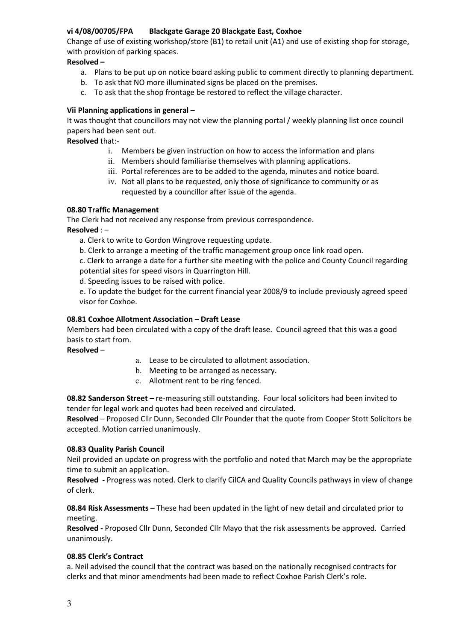## vi 4/08/00705/FPA Blackgate Garage 20 Blackgate East, Coxhoe

Change of use of existing workshop/store (B1) to retail unit (A1) and use of existing shop for storage, with provision of parking spaces.

## Resolved –

- a. Plans to be put up on notice board asking public to comment directly to planning department.
- b. To ask that NO more illuminated signs be placed on the premises.
- c. To ask that the shop frontage be restored to reflect the village character.

## Vii Planning applications in general –

It was thought that councillors may not view the planning portal / weekly planning list once council papers had been sent out.

Resolved that:-

- i. Members be given instruction on how to access the information and plans
- ii. Members should familiarise themselves with planning applications.
- iii. Portal references are to be added to the agenda, minutes and notice board.
- iv. Not all plans to be requested, only those of significance to community or as requested by a councillor after issue of the agenda.

## 08.80 Traffic Management

The Clerk had not received any response from previous correspondence.

Resolved : –

a. Clerk to write to Gordon Wingrove requesting update.

b. Clerk to arrange a meeting of the traffic management group once link road open.

c. Clerk to arrange a date for a further site meeting with the police and County Council regarding potential sites for speed visors in Quarrington Hill.

d. Speeding issues to be raised with police.

e. To update the budget for the current financial year 2008/9 to include previously agreed speed visor for Coxhoe.

## 08.81 Coxhoe Allotment Association – Draft Lease

Members had been circulated with a copy of the draft lease. Council agreed that this was a good basis to start from.

Resolved –

- a. Lease to be circulated to allotment association.
- b. Meeting to be arranged as necessary.
- c. Allotment rent to be ring fenced.

08.82 Sanderson Street – re-measuring still outstanding. Four local solicitors had been invited to tender for legal work and quotes had been received and circulated.

Resolved – Proposed Cllr Dunn, Seconded Cllr Pounder that the quote from Cooper Stott Solicitors be accepted. Motion carried unanimously.

## 08.83 Quality Parish Council

Neil provided an update on progress with the portfolio and noted that March may be the appropriate time to submit an application.

Resolved - Progress was noted. Clerk to clarify CilCA and Quality Councils pathways in view of change of clerk.

08.84 Risk Assessments – These had been updated in the light of new detail and circulated prior to meeting.

Resolved - Proposed Cllr Dunn, Seconded Cllr Mayo that the risk assessments be approved. Carried unanimously.

## 08.85 Clerk's Contract

a. Neil advised the council that the contract was based on the nationally recognised contracts for clerks and that minor amendments had been made to reflect Coxhoe Parish Clerk's role.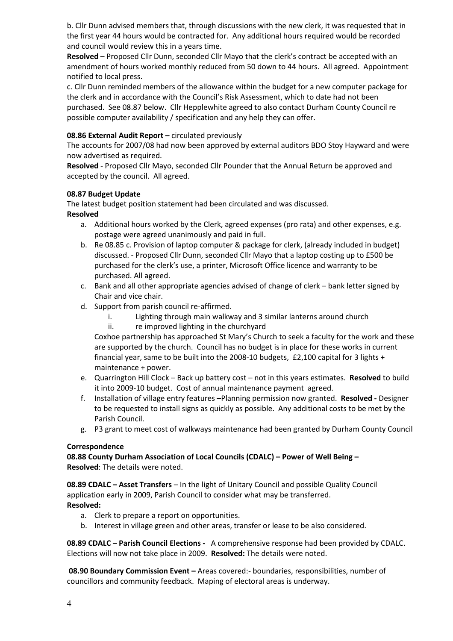b. Cllr Dunn advised members that, through discussions with the new clerk, it was requested that in the first year 44 hours would be contracted for. Any additional hours required would be recorded and council would review this in a years time.

Resolved – Proposed Cllr Dunn, seconded Cllr Mayo that the clerk's contract be accepted with an amendment of hours worked monthly reduced from 50 down to 44 hours. All agreed. Appointment notified to local press.

c. Cllr Dunn reminded members of the allowance within the budget for a new computer package for the clerk and in accordance with the Council's Risk Assessment, which to date had not been purchased. See 08.87 below. Cllr Hepplewhite agreed to also contact Durham County Council re possible computer availability / specification and any help they can offer.

## 08.86 External Audit Report – circulated previously

The accounts for 2007/08 had now been approved by external auditors BDO Stoy Hayward and were now advertised as required.

Resolved - Proposed Cllr Mayo, seconded Cllr Pounder that the Annual Return be approved and accepted by the council. All agreed.

## 08.87 Budget Update

The latest budget position statement had been circulated and was discussed.

#### Resolved

- a. Additional hours worked by the Clerk, agreed expenses (pro rata) and other expenses, e.g. postage were agreed unanimously and paid in full.
- b. Re 08.85 c. Provision of laptop computer & package for clerk, (already included in budget) discussed. - Proposed Cllr Dunn, seconded Cllr Mayo that a laptop costing up to £500 be purchased for the clerk's use, a printer, Microsoft Office licence and warranty to be purchased. All agreed.
- c. Bank and all other appropriate agencies advised of change of clerk bank letter signed by Chair and vice chair.
- d. Support from parish council re-affirmed.
	- i. Lighting through main walkway and 3 similar lanterns around church
	- ii. re improved lighting in the churchyard

Coxhoe partnership has approached St Mary's Church to seek a faculty for the work and these are supported by the church. Council has no budget is in place for these works in current financial year, same to be built into the 2008-10 budgets,  $f2,100$  capital for 3 lights + maintenance + power.

- e. Quarrington Hill Clock Back up battery cost not in this years estimates. Resolved to build it into 2009-10 budget. Cost of annual maintenance payment agreed.
- f. Installation of village entry features –Planning permission now granted. Resolved Designer to be requested to install signs as quickly as possible. Any additional costs to be met by the Parish Council.
- g. P3 grant to meet cost of walkways maintenance had been granted by Durham County Council

#### Correspondence

08.88 County Durham Association of Local Councils (CDALC) – Power of Well Being – Resolved: The details were noted.

08.89 CDALC – Asset Transfers – In the light of Unitary Council and possible Quality Council application early in 2009, Parish Council to consider what may be transferred. Resolved:

- a. Clerk to prepare a report on opportunities.
- b. Interest in village green and other areas, transfer or lease to be also considered.

08.89 CDALC – Parish Council Elections - A comprehensive response had been provided by CDALC. Elections will now not take place in 2009. Resolved: The details were noted.

 08.90 Boundary Commission Event – Areas covered:- boundaries, responsibilities, number of councillors and community feedback. Maping of electoral areas is underway.